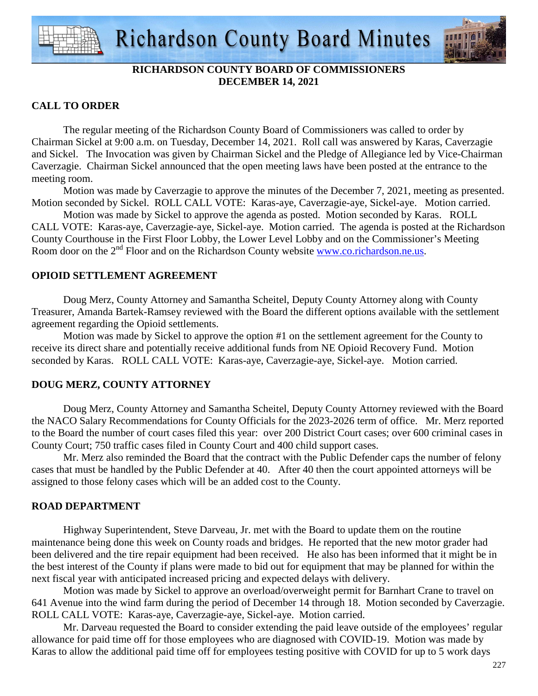

# **RICHARDSON COUNTY BOARD OF COMMISSIONERS DECEMBER 14, 2021**

## **CALL TO ORDER**

 The regular meeting of the Richardson County Board of Commissioners was called to order by Chairman Sickel at 9:00 a.m. on Tuesday, December 14, 2021. Roll call was answered by Karas, Caverzagie and Sickel. The Invocation was given by Chairman Sickel and the Pledge of Allegiance led by Vice-Chairman Caverzagie. Chairman Sickel announced that the open meeting laws have been posted at the entrance to the meeting room.

 Motion was made by Caverzagie to approve the minutes of the December 7, 2021, meeting as presented. Motion seconded by Sickel. ROLL CALL VOTE: Karas-aye, Caverzagie-aye, Sickel-aye. Motion carried.

 Motion was made by Sickel to approve the agenda as posted. Motion seconded by Karas. ROLL CALL VOTE: Karas-aye, Caverzagie-aye, Sickel-aye. Motion carried. The agenda is posted at the Richardson County Courthouse in the First Floor Lobby, the Lower Level Lobby and on the Commissioner's Meeting Room door on the 2<sup>nd</sup> Floor and on the Richardson County website www.co.richardson.ne.us.

## **OPIOID SETTLEMENT AGREEMENT**

Doug Merz, County Attorney and Samantha Scheitel, Deputy County Attorney along with County Treasurer, Amanda Bartek-Ramsey reviewed with the Board the different options available with the settlement agreement regarding the Opioid settlements.

Motion was made by Sickel to approve the option #1 on the settlement agreement for the County to receive its direct share and potentially receive additional funds from NE Opioid Recovery Fund. Motion seconded by Karas. ROLL CALL VOTE: Karas-aye, Caverzagie-aye, Sickel-aye. Motion carried.

# **DOUG MERZ, COUNTY ATTORNEY**

 Doug Merz, County Attorney and Samantha Scheitel, Deputy County Attorney reviewed with the Board the NACO Salary Recommendations for County Officials for the 2023-2026 term of office. Mr. Merz reported to the Board the number of court cases filed this year: over 200 District Court cases; over 600 criminal cases in County Court; 750 traffic cases filed in County Court and 400 child support cases.

 Mr. Merz also reminded the Board that the contract with the Public Defender caps the number of felony cases that must be handled by the Public Defender at 40. After 40 then the court appointed attorneys will be assigned to those felony cases which will be an added cost to the County.

# **ROAD DEPARTMENT**

 Highway Superintendent, Steve Darveau, Jr. met with the Board to update them on the routine maintenance being done this week on County roads and bridges. He reported that the new motor grader had been delivered and the tire repair equipment had been received. He also has been informed that it might be in the best interest of the County if plans were made to bid out for equipment that may be planned for within the next fiscal year with anticipated increased pricing and expected delays with delivery.

 Motion was made by Sickel to approve an overload/overweight permit for Barnhart Crane to travel on 641 Avenue into the wind farm during the period of December 14 through 18. Motion seconded by Caverzagie. ROLL CALL VOTE: Karas-aye, Caverzagie-aye, Sickel-aye. Motion carried.

 Mr. Darveau requested the Board to consider extending the paid leave outside of the employees' regular allowance for paid time off for those employees who are diagnosed with COVID-19. Motion was made by Karas to allow the additional paid time off for employees testing positive with COVID for up to 5 work days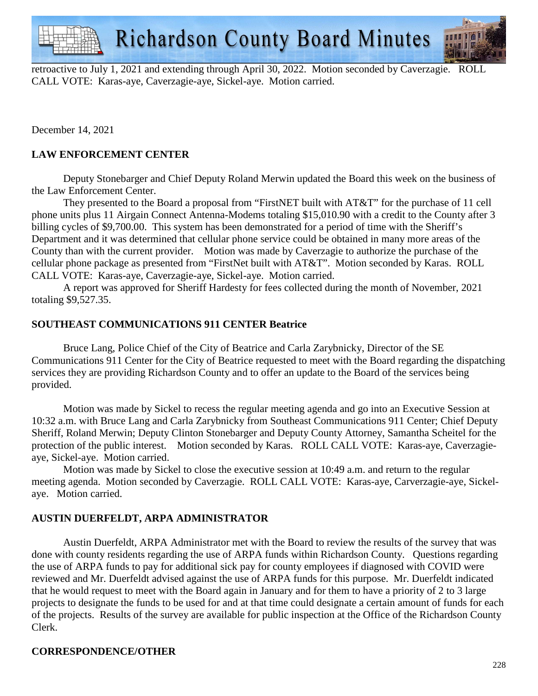**Richardson County Board Minutes** 

retroactive to July 1, 2021 and extending through April 30, 2022. Motion seconded by Caverzagie. ROLL CALL VOTE: Karas-aye, Caverzagie-aye, Sickel-aye. Motion carried.

December 14, 2021

# **LAW ENFORCEMENT CENTER**

 Deputy Stonebarger and Chief Deputy Roland Merwin updated the Board this week on the business of the Law Enforcement Center.

 They presented to the Board a proposal from "FirstNET built with AT&T" for the purchase of 11 cell phone units plus 11 Airgain Connect Antenna-Modems totaling \$15,010.90 with a credit to the County after 3 billing cycles of \$9,700.00. This system has been demonstrated for a period of time with the Sheriff's Department and it was determined that cellular phone service could be obtained in many more areas of the County than with the current provider. Motion was made by Caverzagie to authorize the purchase of the cellular phone package as presented from "FirstNet built with AT&T". Motion seconded by Karas. ROLL CALL VOTE: Karas-aye, Caverzagie-aye, Sickel-aye. Motion carried.

 A report was approved for Sheriff Hardesty for fees collected during the month of November, 2021 totaling \$9,527.35.

#### **SOUTHEAST COMMUNICATIONS 911 CENTER Beatrice**

 Bruce Lang, Police Chief of the City of Beatrice and Carla Zarybnicky, Director of the SE Communications 911 Center for the City of Beatrice requested to meet with the Board regarding the dispatching services they are providing Richardson County and to offer an update to the Board of the services being provided.

 Motion was made by Sickel to recess the regular meeting agenda and go into an Executive Session at 10:32 a.m. with Bruce Lang and Carla Zarybnicky from Southeast Communications 911 Center; Chief Deputy Sheriff, Roland Merwin; Deputy Clinton Stonebarger and Deputy County Attorney, Samantha Scheitel for the protection of the public interest. Motion seconded by Karas. ROLL CALL VOTE: Karas-aye, Caverzagieaye, Sickel-aye. Motion carried.

 Motion was made by Sickel to close the executive session at 10:49 a.m. and return to the regular meeting agenda. Motion seconded by Caverzagie. ROLL CALL VOTE: Karas-aye, Carverzagie-aye, Sickelaye. Motion carried.

## **AUSTIN DUERFELDT, ARPA ADMINISTRATOR**

 Austin Duerfeldt, ARPA Administrator met with the Board to review the results of the survey that was done with county residents regarding the use of ARPA funds within Richardson County. Questions regarding the use of ARPA funds to pay for additional sick pay for county employees if diagnosed with COVID were reviewed and Mr. Duerfeldt advised against the use of ARPA funds for this purpose. Mr. Duerfeldt indicated that he would request to meet with the Board again in January and for them to have a priority of 2 to 3 large projects to designate the funds to be used for and at that time could designate a certain amount of funds for each of the projects. Results of the survey are available for public inspection at the Office of the Richardson County Clerk.

## **CORRESPONDENCE/OTHER**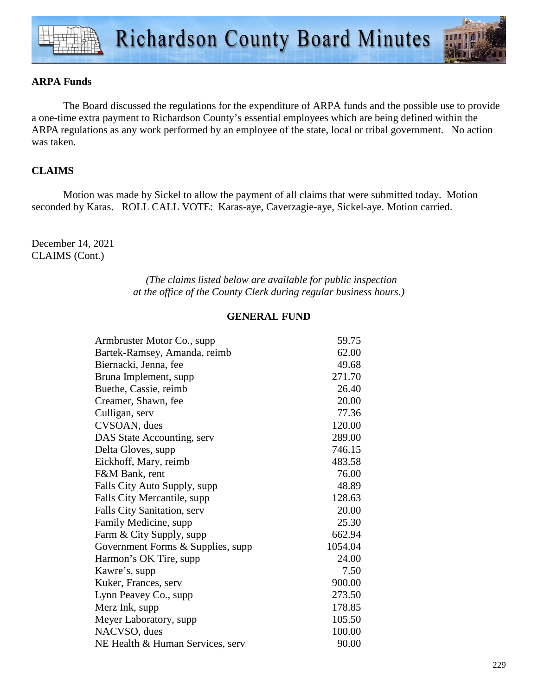#### **ARPA Funds**

 The Board discussed the regulations for the expenditure of ARPA funds and the possible use to provide a one-time extra payment to Richardson County's essential employees which are being defined within the ARPA regulations as any work performed by an employee of the state, local or tribal government. No action was taken.

## **CLAIMS**

Motion was made by Sickel to allow the payment of all claims that were submitted today. Motion seconded by Karas. ROLL CALL VOTE: Karas-aye, Caverzagie-aye, Sickel-aye. Motion carried.

December 14, 2021 CLAIMS (Cont.)

> *(The claims listed below are available for public inspection at the office of the County Clerk during regular business hours.)*

#### **GENERAL FUND**

| 59.75   |
|---------|
| 62.00   |
| 49.68   |
| 271.70  |
| 26.40   |
| 20.00   |
| 77.36   |
| 120.00  |
| 289.00  |
| 746.15  |
| 483.58  |
| 76.00   |
| 48.89   |
| 128.63  |
| 20.00   |
| 25.30   |
| 662.94  |
| 1054.04 |
| 24.00   |
| 7.50    |
| 900.00  |
| 273.50  |
| 178.85  |
| 105.50  |
| 100.00  |
| 90.00   |
|         |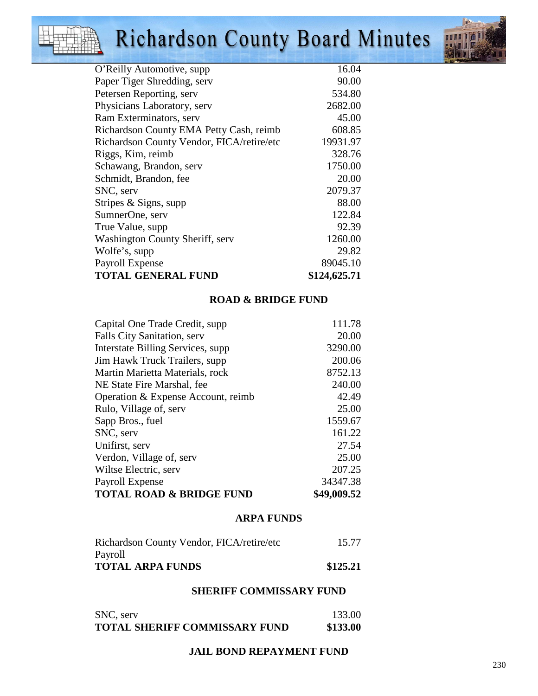# Richardson County Board Minutes



| Paper Tiger Shredding, serv               | 90.00        |
|-------------------------------------------|--------------|
| Petersen Reporting, serv                  | 534.80       |
| Physicians Laboratory, serv               | 2682.00      |
| Ram Exterminators, serv                   | 45.00        |
| Richardson County EMA Petty Cash, reimb   | 608.85       |
| Richardson County Vendor, FICA/retire/etc | 19931.97     |
| Riggs, Kim, reimb                         | 328.76       |
| Schawang, Brandon, serv                   | 1750.00      |
| Schmidt, Brandon, fee                     | 20.00        |
| SNC, serv                                 | 2079.37      |
| Stripes & Signs, supp                     | 88.00        |
| SumnerOne, serv                           | 122.84       |
| True Value, supp                          | 92.39        |
| <b>Washington County Sheriff, serv</b>    | 1260.00      |
| Wolfe's, supp                             | 29.82        |
| Payroll Expense                           | 89045.10     |
| <b>TOTAL GENERAL FUND</b>                 | \$124,625.71 |
|                                           |              |

#### **ROAD & BRIDGE FUND**

| Capital One Trade Credit, supp      | 111.78      |
|-------------------------------------|-------------|
| Falls City Sanitation, serv         | 20.00       |
| Interstate Billing Services, supp.  | 3290.00     |
| Jim Hawk Truck Trailers, supp       | 200.06      |
| Martin Marietta Materials, rock     | 8752.13     |
| NE State Fire Marshal, fee          | 240.00      |
| Operation & Expense Account, reimb  | 42.49       |
| Rulo, Village of, serv              | 25.00       |
| Sapp Bros., fuel                    | 1559.67     |
| SNC, serv                           | 161.22      |
| Unifirst, serv                      | 27.54       |
| Verdon, Village of, serv            | 25.00       |
| Wiltse Electric, serv               | 207.25      |
| Payroll Expense                     | 34347.38    |
| <b>TOTAL ROAD &amp; BRIDGE FUND</b> | \$49,009.52 |

#### **ARPA FUNDS**

| Richardson County Vendor, FICA/retire/etc | 15.77    |
|-------------------------------------------|----------|
| Payroll                                   |          |
| <b>TOTAL ARPA FUNDS</b>                   | \$125.21 |

## **SHERIFF COMMISSARY FUND**

| SNC, serv                            | 133.00   |
|--------------------------------------|----------|
| <b>TOTAL SHERIFF COMMISSARY FUND</b> | \$133.00 |

#### **JAIL BOND REPAYMENT FUND**